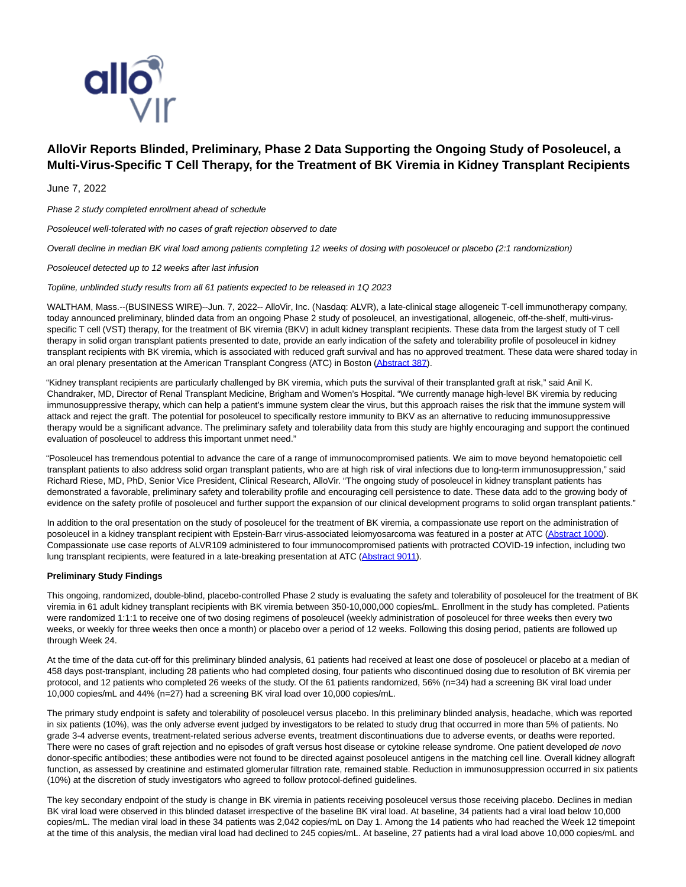

# **AlloVir Reports Blinded, Preliminary, Phase 2 Data Supporting the Ongoing Study of Posoleucel, a Multi-Virus-Specific T Cell Therapy, for the Treatment of BK Viremia in Kidney Transplant Recipients**

June 7, 2022

Phase 2 study completed enrollment ahead of schedule

Posoleucel well-tolerated with no cases of graft rejection observed to date

Overall decline in median BK viral load among patients completing 12 weeks of dosing with posoleucel or placebo (2:1 randomization)

Posoleucel detected up to 12 weeks after last infusion

Topline, unblinded study results from all 61 patients expected to be released in 1Q 2023

WALTHAM, Mass.--(BUSINESS WIRE)--Jun. 7, 2022-- AlloVir, Inc. (Nasdaq: ALVR), a late-clinical stage allogeneic T-cell immunotherapy company, today announced preliminary, blinded data from an ongoing Phase 2 study of posoleucel, an investigational, allogeneic, off-the-shelf, multi-virusspecific T cell (VST) therapy, for the treatment of BK viremia (BKV) in adult kidney transplant recipients. These data from the largest study of T cell therapy in solid organ transplant patients presented to date, provide an early indication of the safety and tolerability profile of posoleucel in kidney transplant recipients with BK viremia, which is associated with reduced graft survival and has no approved treatment. These data were shared today in an oral plenary presentation at the American Transplant Congress (ATC) in Boston [\(Abstract 387\).](https://cts.businesswire.com/ct/CT?id=smartlink&url=https%3A%2F%2Fatcmeetingabstracts.com%2Fabstract%2Fposoleucel-as-preemptive-therapy-for-bkv-infection-in-kidney-transplant-recipients-safety-and-tolerability-in-a-phase-2-trial%2F&esheet=52741731&newsitemid=20220607005523&lan=en-US&anchor=Abstract+387&index=1&md5=4803b0f4afa362f28dac375dd4c64929)

"Kidney transplant recipients are particularly challenged by BK viremia, which puts the survival of their transplanted graft at risk," said Anil K. Chandraker, MD, Director of Renal Transplant Medicine, Brigham and Women's Hospital. "We currently manage high-level BK viremia by reducing immunosuppressive therapy, which can help a patient's immune system clear the virus, but this approach raises the risk that the immune system will attack and reject the graft. The potential for posoleucel to specifically restore immunity to BKV as an alternative to reducing immunosuppressive therapy would be a significant advance. The preliminary safety and tolerability data from this study are highly encouraging and support the continued evaluation of posoleucel to address this important unmet need."

"Posoleucel has tremendous potential to advance the care of a range of immunocompromised patients. We aim to move beyond hematopoietic cell transplant patients to also address solid organ transplant patients, who are at high risk of viral infections due to long-term immunosuppression," said Richard Riese, MD, PhD, Senior Vice President, Clinical Research, AlloVir. "The ongoing study of posoleucel in kidney transplant patients has demonstrated a favorable, preliminary safety and tolerability profile and encouraging cell persistence to date. These data add to the growing body of evidence on the safety profile of posoleucel and further support the expansion of our clinical development programs to solid organ transplant patients."

In addition to the oral presentation on the study of posoleucel for the treatment of BK viremia, a compassionate use report on the administration of posoleucel in a kidney transplant recipient with Epstein-Barr virus-associated leiomyosarcoma was featured in a poster at ATC [\(Abstract 1000\).](https://cts.businesswire.com/ct/CT?id=smartlink&url=https%3A%2F%2Fatcmeetingabstracts.com%2Fabstract%2Fuse-of-targeted-t-cell-therapy-posoleucel-for-the-treatment-of-epstein-barr-virus-associated-leiomyosarcoma-in-an-adult-kidney-transplant-recipient-a-case-report%2F&esheet=52741731&newsitemid=20220607005523&lan=en-US&anchor=Abstract+1000&index=2&md5=4944110b824563981f1b63d7762a214b) Compassionate use case reports of ALVR109 administered to four immunocompromised patients with protracted COVID-19 infection, including two lung transplant recipients, were featured in a late-breaking presentation at ATC [\(Abstract 9011\).](https://cts.businesswire.com/ct/CT?id=smartlink&url=https%3A%2F%2Fatcmeetingabstracts.com%2Fabstract%2Fearly-clinical-experience-with-alvr109-a-partially-hla-matched-sars-cov-2-specific-t-cell-therapy-in-immunocompromised-patients-with-covid-19%2F&esheet=52741731&newsitemid=20220607005523&lan=en-US&anchor=Abstract+9011&index=3&md5=c2043fe7a6f980c75e14b54d1bc7fcc6)

## **Preliminary Study Findings**

This ongoing, randomized, double-blind, placebo-controlled Phase 2 study is evaluating the safety and tolerability of posoleucel for the treatment of BK viremia in 61 adult kidney transplant recipients with BK viremia between 350-10,000,000 copies/mL. Enrollment in the study has completed. Patients were randomized 1:1:1 to receive one of two dosing regimens of posoleucel (weekly administration of posoleucel for three weeks then every two weeks, or weekly for three weeks then once a month) or placebo over a period of 12 weeks. Following this dosing period, patients are followed up through Week 24.

At the time of the data cut-off for this preliminary blinded analysis, 61 patients had received at least one dose of posoleucel or placebo at a median of 458 days post-transplant, including 28 patients who had completed dosing, four patients who discontinued dosing due to resolution of BK viremia per protocol, and 12 patients who completed 26 weeks of the study. Of the 61 patients randomized, 56% (n=34) had a screening BK viral load under 10,000 copies/mL and 44% (n=27) had a screening BK viral load over 10,000 copies/mL.

The primary study endpoint is safety and tolerability of posoleucel versus placebo. In this preliminary blinded analysis, headache, which was reported in six patients (10%), was the only adverse event judged by investigators to be related to study drug that occurred in more than 5% of patients. No grade 3-4 adverse events, treatment-related serious adverse events, treatment discontinuations due to adverse events, or deaths were reported. There were no cases of graft rejection and no episodes of graft versus host disease or cytokine release syndrome. One patient developed de novo donor-specific antibodies; these antibodies were not found to be directed against posoleucel antigens in the matching cell line. Overall kidney allograft function, as assessed by creatinine and estimated glomerular filtration rate, remained stable. Reduction in immunosuppression occurred in six patients (10%) at the discretion of study investigators who agreed to follow protocol-defined guidelines.

The key secondary endpoint of the study is change in BK viremia in patients receiving posoleucel versus those receiving placebo. Declines in median BK viral load were observed in this blinded dataset irrespective of the baseline BK viral load. At baseline, 34 patients had a viral load below 10,000 copies/mL. The median viral load in these 34 patients was 2,042 copies/mL on Day 1. Among the 14 patients who had reached the Week 12 timepoint at the time of this analysis, the median viral load had declined to 245 copies/mL. At baseline, 27 patients had a viral load above 10,000 copies/mL and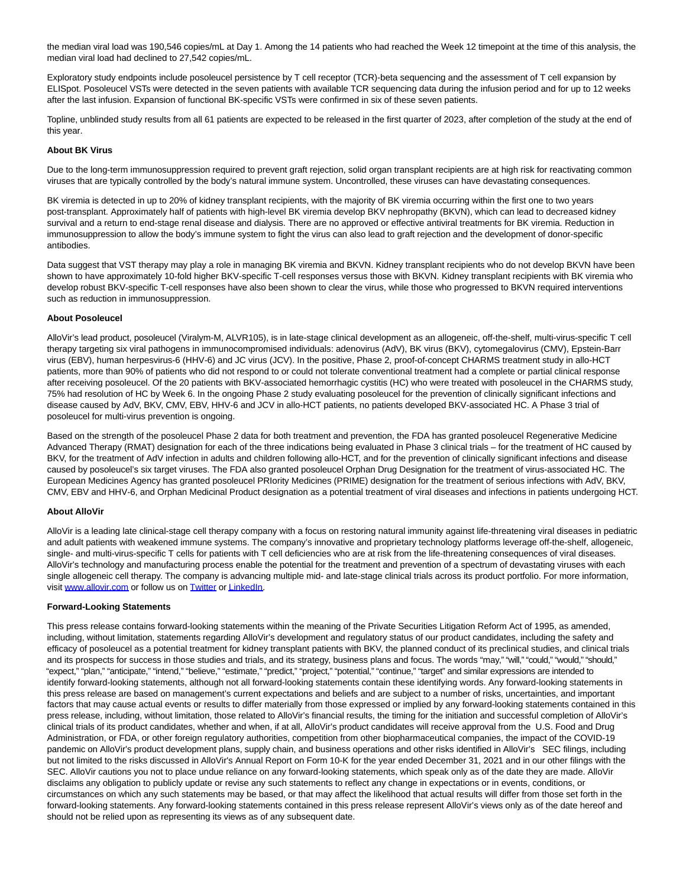the median viral load was 190,546 copies/mL at Day 1. Among the 14 patients who had reached the Week 12 timepoint at the time of this analysis, the median viral load had declined to 27,542 copies/mL.

Exploratory study endpoints include posoleucel persistence by T cell receptor (TCR)-beta sequencing and the assessment of T cell expansion by ELISpot. Posoleucel VSTs were detected in the seven patients with available TCR sequencing data during the infusion period and for up to 12 weeks after the last infusion. Expansion of functional BK-specific VSTs were confirmed in six of these seven patients.

Topline, unblinded study results from all 61 patients are expected to be released in the first quarter of 2023, after completion of the study at the end of this year.

### **About BK Virus**

Due to the long-term immunosuppression required to prevent graft rejection, solid organ transplant recipients are at high risk for reactivating common viruses that are typically controlled by the body's natural immune system. Uncontrolled, these viruses can have devastating consequences.

BK viremia is detected in up to 20% of kidney transplant recipients, with the majority of BK viremia occurring within the first one to two years post-transplant. Approximately half of patients with high-level BK viremia develop BKV nephropathy (BKVN), which can lead to decreased kidney survival and a return to end-stage renal disease and dialysis. There are no approved or effective antiviral treatments for BK viremia. Reduction in immunosuppression to allow the body's immune system to fight the virus can also lead to graft rejection and the development of donor-specific antibodies.

Data suggest that VST therapy may play a role in managing BK viremia and BKVN. Kidney transplant recipients who do not develop BKVN have been shown to have approximately 10-fold higher BKV-specific T-cell responses versus those with BKVN. Kidney transplant recipients with BK viremia who develop robust BKV-specific T-cell responses have also been shown to clear the virus, while those who progressed to BKVN required interventions such as reduction in immunosuppression.

#### **About Posoleucel**

AlloVir's lead product, posoleucel (Viralym-M, ALVR105), is in late-stage clinical development as an allogeneic, off-the-shelf, multi-virus-specific T cell therapy targeting six viral pathogens in immunocompromised individuals: adenovirus (AdV), BK virus (BKV), cytomegalovirus (CMV), Epstein-Barr virus (EBV), human herpesvirus-6 (HHV-6) and JC virus (JCV). In the positive, Phase 2, proof-of-concept CHARMS treatment study in allo-HCT patients, more than 90% of patients who did not respond to or could not tolerate conventional treatment had a complete or partial clinical response after receiving posoleucel. Of the 20 patients with BKV-associated hemorrhagic cystitis (HC) who were treated with posoleucel in the CHARMS study, 75% had resolution of HC by Week 6. In the ongoing Phase 2 study evaluating posoleucel for the prevention of clinically significant infections and disease caused by AdV, BKV, CMV, EBV, HHV-6 and JCV in allo-HCT patients, no patients developed BKV-associated HC. A Phase 3 trial of posoleucel for multi-virus prevention is ongoing.

Based on the strength of the posoleucel Phase 2 data for both treatment and prevention, the FDA has granted posoleucel Regenerative Medicine Advanced Therapy (RMAT) designation for each of the three indications being evaluated in Phase 3 clinical trials – for the treatment of HC caused by BKV, for the treatment of AdV infection in adults and children following allo-HCT, and for the prevention of clinically significant infections and disease caused by posoleucel's six target viruses. The FDA also granted posoleucel Orphan Drug Designation for the treatment of virus-associated HC. The European Medicines Agency has granted posoleucel PRIority Medicines (PRIME) designation for the treatment of serious infections with AdV, BKV, CMV, EBV and HHV-6, and Orphan Medicinal Product designation as a potential treatment of viral diseases and infections in patients undergoing HCT.

## **About AlloVir**

AlloVir is a leading late clinical-stage cell therapy company with a focus on restoring natural immunity against life-threatening viral diseases in pediatric and adult patients with weakened immune systems. The company's innovative and proprietary technology platforms leverage off-the-shelf, allogeneic, single- and multi-virus-specific T cells for patients with T cell deficiencies who are at risk from the life-threatening consequences of viral diseases. AlloVir's technology and manufacturing process enable the potential for the treatment and prevention of a spectrum of devastating viruses with each single allogeneic cell therapy. The company is advancing multiple mid- and late-stage clinical trials across its product portfolio. For more information, visit [www.allovir.com o](https://cts.businesswire.com/ct/CT?id=smartlink&url=http%3A%2F%2Fwww.allovir.com&esheet=52741731&newsitemid=20220607005523&lan=en-US&anchor=www.allovir.com&index=4&md5=332e353c76dc52c3e5b48e9274e7e27c)r follow us on [Twitter o](https://cts.businesswire.com/ct/CT?id=smartlink&url=https%3A%2F%2Ftwitter.com%2Fallo_vir%3Fref_src%3Dtwsrc%255Egoogle%257Ctwcamp%255Eserp%257Ctwgr%255Eauthor&esheet=52741731&newsitemid=20220607005523&lan=en-US&anchor=Twitter&index=5&md5=a31da7f4348515e85537382aa38d1e5d)[r LinkedIn.](https://cts.businesswire.com/ct/CT?id=smartlink&url=https%3A%2F%2Fwww.linkedin.com%2Fcompany%2Fallovir%2F&esheet=52741731&newsitemid=20220607005523&lan=en-US&anchor=LinkedIn&index=6&md5=44a1f3e8074e1c54b2a849fd6660c654)

## **Forward-Looking Statements**

This press release contains forward-looking statements within the meaning of the Private Securities Litigation Reform Act of 1995, as amended, including, without limitation, statements regarding AlloVir's development and regulatory status of our product candidates, including the safety and efficacy of posoleucel as a potential treatment for kidney transplant patients with BKV, the planned conduct of its preclinical studies, and clinical trials and its prospects for success in those studies and trials, and its strategy, business plans and focus. The words "may," "will," "could," "would," "should," "expect," "plan," "anticipate," "intend," "believe," "estimate," "predict," "project," "potential," "continue," "target" and similar expressions are intended to identify forward-looking statements, although not all forward-looking statements contain these identifying words. Any forward-looking statements in this press release are based on management's current expectations and beliefs and are subject to a number of risks, uncertainties, and important factors that may cause actual events or results to differ materially from those expressed or implied by any forward-looking statements contained in this press release, including, without limitation, those related to AlloVir's financial results, the timing for the initiation and successful completion of AlloVir's clinical trials of its product candidates, whether and when, if at all, AlloVir's product candidates will receive approval from the U.S. Food and Drug Administration, or FDA, or other foreign regulatory authorities, competition from other biopharmaceutical companies, the impact of the COVID-19 pandemic on AlloVir's product development plans, supply chain, and business operations and other risks identified in AlloVir's SEC filings, including but not limited to the risks discussed in AlloVir's Annual Report on Form 10-K for the year ended December 31, 2021 and in our other filings with the SEC. AlloVir cautions you not to place undue reliance on any forward-looking statements, which speak only as of the date they are made. AlloVir disclaims any obligation to publicly update or revise any such statements to reflect any change in expectations or in events, conditions, or circumstances on which any such statements may be based, or that may affect the likelihood that actual results will differ from those set forth in the forward-looking statements. Any forward-looking statements contained in this press release represent AlloVir's views only as of the date hereof and should not be relied upon as representing its views as of any subsequent date.